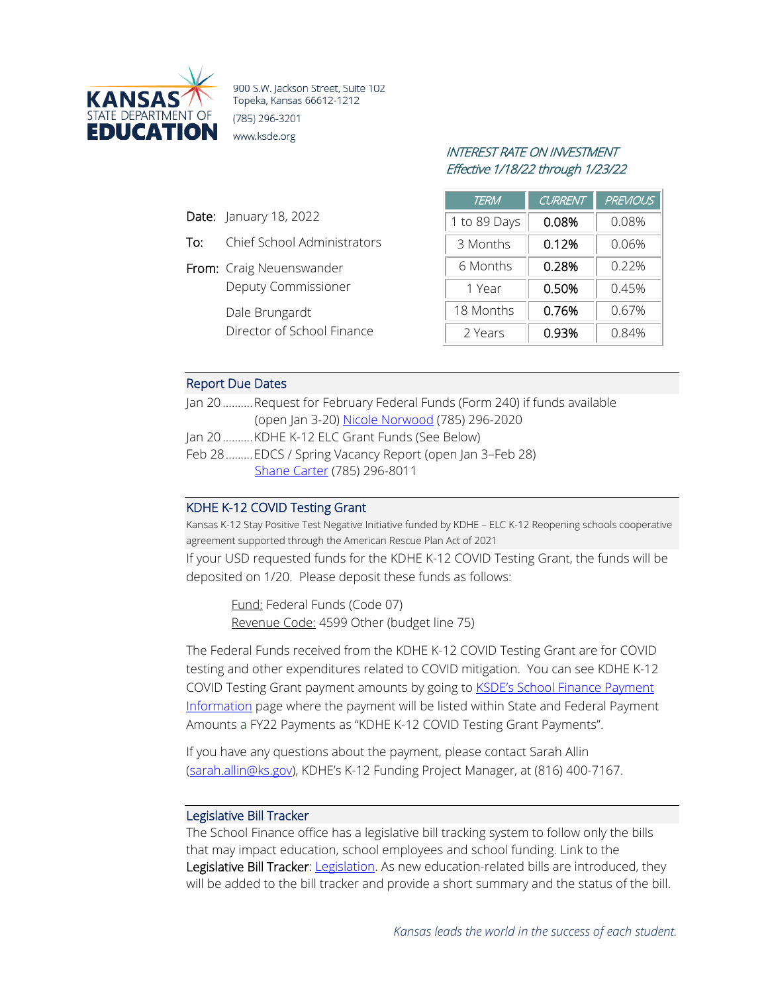

900 S.W. Jackson Street, Suite 102 Topeka, Kansas 66612-1212 (785) 296-3201 www.ksde.org

# INTEREST RATE ON INVESTMENT Effective 1/18/22 through 1/23/22

| <b>TERM</b>  | <b>CURRENT</b> | <b>PREVIOUS</b> |
|--------------|----------------|-----------------|
| 1 to 89 Days | 0.08%          | 0.08%           |
| 3 Months     | 0.12%          | 0.06%           |
| 6 Months     | 0.28%          | 0.22%           |
| 1 Year       | 0.50%          | 0.45%           |
| 18 Months    | 0.76%          | 0.67%           |
| 2 Years      | 0.93%          | 0.84%           |

# Report Due Dates

Date: January 18, 2022

From: Craig Neuenswander

Dale Brungardt

To: Chief School Administrators

Deputy Commissioner

Director of School Finance

| Jan 20Request for February Federal Funds (Form 240) if funds available |
|------------------------------------------------------------------------|
| (open Jan 3-20) Nicole Norwood (785) 296-2020                          |
| Jan 20KDHE K-12 ELC Grant Funds (See Below)                            |
| Feb 28 EDCS / Spring Vacancy Report (open Jan 3-Feb 28)                |
| Shane Carter (785) 296-8011                                            |

## KDHE K-12 COVID Testing Grant

Kansas K-12 Stay Positive Test Negative Initiative funded by KDHE – ELC K-12 Reopening schools cooperative agreement supported through the American Rescue Plan Act of 2021

If your USD requested funds for the KDHE K-12 COVID Testing Grant, the funds will be deposited on 1/20. Please deposit these funds as follows:

Fund: Federal Funds (Code 07) Revenue Code: 4599 Other (budget line 75)

The Federal Funds received from the KDHE K-12 COVID Testing Grant are for COVID testing and other expenditures related to COVID mitigation. You can see KDHE K-12 COVID Testing Grant payment amounts by going to **KSDE's School Finance Payment** [Information](https://www.ksde.org/Agency/Fiscal-and-Administrative-Services/School-Finance/Payment-Information) page where the payment will be listed within State and Federal Payment Amounts a FY22 Payments as "KDHE K-12 COVID Testing Grant Payments".

If you have any questions about the payment, please contact Sarah Allin [\(sarah.allin@ks.gov\)](mailto:sarah.allin@ks.gov), KDHE's K-12 Funding Project Manager, at (816) 400-7167.

## Legislative Bill Tracker

The School Finance office has a legislative bill tracking system to follow only the bills that may impact education, school employees and school funding. Link to the Legislative Bill Tracker: [Legislation.](https://www.ksde.org/Agency/Fiscal-and-Administrative-Services/School-Finance/Legislation) As new education-related bills are introduced, they will be added to the bill tracker and provide a short summary and the status of the bill.